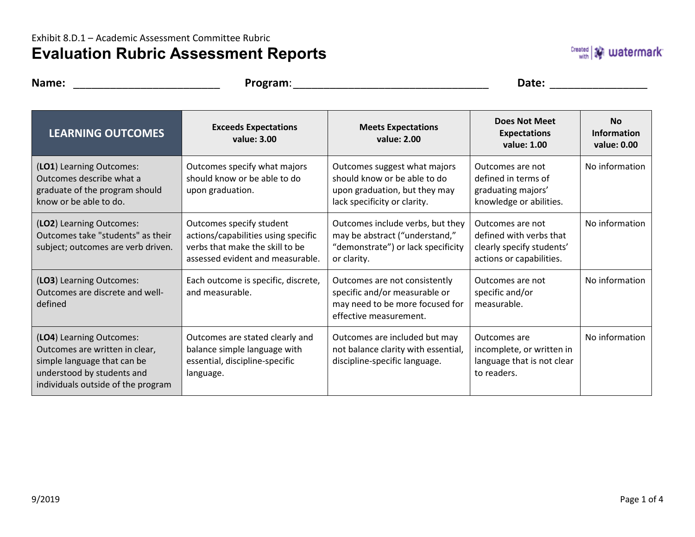## **Evaluation Rubric Assessment Reports**

**Name:** \_\_\_\_\_\_\_\_\_\_\_\_\_\_\_\_\_\_\_\_\_\_\_\_ **Program**:\_\_\_\_\_\_\_\_\_\_\_\_\_\_\_\_\_\_\_\_\_\_\_\_\_\_\_\_\_\_\_\_ **Date:** \_\_\_\_\_\_\_\_\_\_\_\_\_\_\_\_

| <b>LEARNING OUTCOMES</b>                                                                                                                                      | <b>Exceeds Expectations</b><br>value: 3.00                                                                                             | <b>Meets Expectations</b><br>value: 2.00                                                                                      | <b>Does Not Meet</b><br><b>Expectations</b><br>value: 1.00                                           | <b>No</b><br>Information<br>value: 0.00 |
|---------------------------------------------------------------------------------------------------------------------------------------------------------------|----------------------------------------------------------------------------------------------------------------------------------------|-------------------------------------------------------------------------------------------------------------------------------|------------------------------------------------------------------------------------------------------|-----------------------------------------|
| (LO1) Learning Outcomes:<br>Outcomes describe what a<br>graduate of the program should<br>know or be able to do.                                              | Outcomes specify what majors<br>should know or be able to do<br>upon graduation.                                                       | Outcomes suggest what majors<br>should know or be able to do<br>upon graduation, but they may<br>lack specificity or clarity. | Outcomes are not<br>defined in terms of<br>graduating majors'<br>knowledge or abilities.             | No information                          |
| (LO2) Learning Outcomes:<br>Outcomes take "students" as their<br>subject; outcomes are verb driven.                                                           | Outcomes specify student<br>actions/capabilities using specific<br>verbs that make the skill to be<br>assessed evident and measurable. | Outcomes include verbs, but they<br>may be abstract ("understand,"<br>"demonstrate") or lack specificity<br>or clarity.       | Outcomes are not<br>defined with verbs that<br>clearly specify students'<br>actions or capabilities. | No information                          |
| (LO3) Learning Outcomes:<br>Outcomes are discrete and well-<br>defined                                                                                        | Each outcome is specific, discrete,<br>and measurable.                                                                                 | Outcomes are not consistently<br>specific and/or measurable or<br>may need to be more focused for<br>effective measurement.   | Outcomes are not<br>specific and/or<br>measurable.                                                   | No information                          |
| (LO4) Learning Outcomes:<br>Outcomes are written in clear,<br>simple language that can be<br>understood by students and<br>individuals outside of the program | Outcomes are stated clearly and<br>balance simple language with<br>essential, discipline-specific<br>language.                         | Outcomes are included but may<br>not balance clarity with essential,<br>discipline-specific language.                         | Outcomes are<br>incomplete, or written in<br>language that is not clear<br>to readers.               | No information                          |

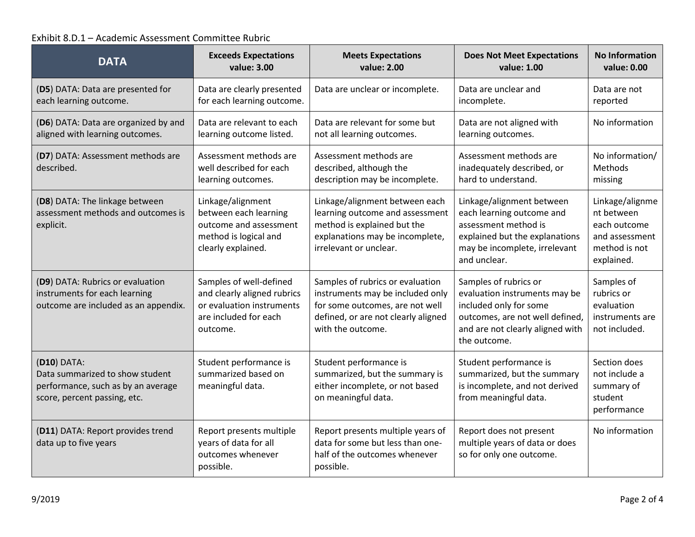## Exhibit 8.D.1 – Academic Assessment Committee Rubric

| <b>DATA</b>                                                                                                          | <b>Exceeds Expectations</b><br>value: 3.00                                                                               | <b>Meets Expectations</b><br>value: 2.00                                                                                                                            | <b>Does Not Meet Expectations</b><br>value: 1.00                                                                                                                        | <b>No Information</b><br>value: 0.00                                                           |
|----------------------------------------------------------------------------------------------------------------------|--------------------------------------------------------------------------------------------------------------------------|---------------------------------------------------------------------------------------------------------------------------------------------------------------------|-------------------------------------------------------------------------------------------------------------------------------------------------------------------------|------------------------------------------------------------------------------------------------|
| (D5) DATA: Data are presented for<br>each learning outcome.                                                          | Data are clearly presented<br>for each learning outcome.                                                                 | Data are unclear or incomplete.                                                                                                                                     | Data are unclear and<br>incomplete.                                                                                                                                     | Data are not<br>reported                                                                       |
| (D6) DATA: Data are organized by and<br>aligned with learning outcomes.                                              | Data are relevant to each<br>learning outcome listed.                                                                    | Data are relevant for some but<br>not all learning outcomes.                                                                                                        | Data are not aligned with<br>learning outcomes.                                                                                                                         | No information                                                                                 |
| (D7) DATA: Assessment methods are<br>described.                                                                      | Assessment methods are<br>well described for each<br>learning outcomes.                                                  | Assessment methods are<br>described, although the<br>description may be incomplete.                                                                                 | Assessment methods are<br>inadequately described, or<br>hard to understand.                                                                                             | No information/<br>Methods<br>missing                                                          |
| (D8) DATA: The linkage between<br>assessment methods and outcomes is<br>explicit.                                    | Linkage/alignment<br>between each learning<br>outcome and assessment<br>method is logical and<br>clearly explained.      | Linkage/alignment between each<br>learning outcome and assessment<br>method is explained but the<br>explanations may be incomplete,<br>irrelevant or unclear.       | Linkage/alignment between<br>each learning outcome and<br>assessment method is<br>explained but the explanations<br>may be incomplete, irrelevant<br>and unclear.       | Linkage/alignme<br>nt between<br>each outcome<br>and assessment<br>method is not<br>explained. |
| (D9) DATA: Rubrics or evaluation<br>instruments for each learning<br>outcome are included as an appendix.            | Samples of well-defined<br>and clearly aligned rubrics<br>or evaluation instruments<br>are included for each<br>outcome. | Samples of rubrics or evaluation<br>instruments may be included only<br>for some outcomes, are not well<br>defined, or are not clearly aligned<br>with the outcome. | Samples of rubrics or<br>evaluation instruments may be<br>included only for some<br>outcomes, are not well defined,<br>and are not clearly aligned with<br>the outcome. | Samples of<br>rubrics or<br>evaluation<br>instruments are<br>not included.                     |
| (D10) DATA:<br>Data summarized to show student<br>performance, such as by an average<br>score, percent passing, etc. | Student performance is<br>summarized based on<br>meaningful data.                                                        | Student performance is<br>summarized, but the summary is<br>either incomplete, or not based<br>on meaningful data.                                                  | Student performance is<br>summarized, but the summary<br>is incomplete, and not derived<br>from meaningful data.                                                        | Section does<br>not include a<br>summary of<br>student<br>performance                          |
| (D11) DATA: Report provides trend<br>data up to five years                                                           | Report presents multiple<br>years of data for all<br>outcomes whenever<br>possible.                                      | Report presents multiple years of<br>data for some but less than one-<br>half of the outcomes whenever<br>possible.                                                 | Report does not present<br>multiple years of data or does<br>so for only one outcome.                                                                                   | No information                                                                                 |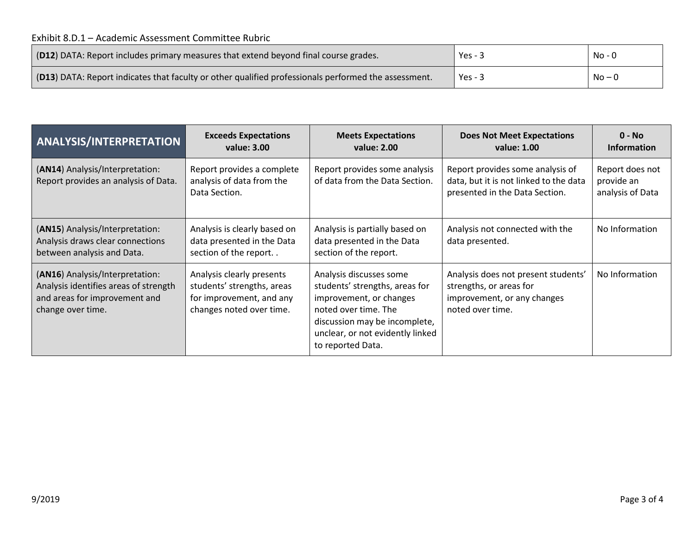| [O12] DATA: Report includes primary measures that extend beyond final course grades.                 | Yes - $3$ | No - 0 |
|------------------------------------------------------------------------------------------------------|-----------|--------|
| [O13] DATA: Report indicates that faculty or other qualified professionals performed the assessment. | Yes - $3$ | $No-0$ |

| <b>ANALYSIS/INTERPRETATION</b>                                                                                                 | <b>Exceeds Expectations</b><br>value: 3.00                                                                      | <b>Meets Expectations</b><br>value: 2.00                                                                                                                                                               | <b>Does Not Meet Expectations</b><br>value: 1.00                                                                  | $0 - No$<br><b>Information</b>                    |
|--------------------------------------------------------------------------------------------------------------------------------|-----------------------------------------------------------------------------------------------------------------|--------------------------------------------------------------------------------------------------------------------------------------------------------------------------------------------------------|-------------------------------------------------------------------------------------------------------------------|---------------------------------------------------|
| (AN14) Analysis/Interpretation:<br>Report provides an analysis of Data.                                                        | Report provides a complete<br>analysis of data from the<br>Data Section.                                        | Report provides some analysis<br>of data from the Data Section.                                                                                                                                        | Report provides some analysis of<br>data, but it is not linked to the data<br>presented in the Data Section.      | Report does not<br>provide an<br>analysis of Data |
| (AN15) Analysis/Interpretation:<br>Analysis draws clear connections<br>between analysis and Data.                              | Analysis is clearly based on<br>data presented in the Data<br>section of the report                             | Analysis is partially based on<br>data presented in the Data<br>section of the report.                                                                                                                 | Analysis not connected with the<br>data presented.                                                                | No Information                                    |
| (AN16) Analysis/Interpretation:<br>Analysis identifies areas of strength<br>and areas for improvement and<br>change over time. | Analysis clearly presents<br>students' strengths, areas<br>for improvement, and any<br>changes noted over time. | Analysis discusses some<br>students' strengths, areas for<br>improvement, or changes<br>noted over time. The<br>discussion may be incomplete,<br>unclear, or not evidently linked<br>to reported Data. | Analysis does not present students'<br>strengths, or areas for<br>improvement, or any changes<br>noted over time. | No Information                                    |